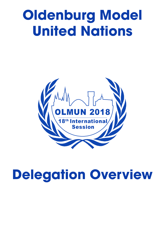# **Oldenburg Model United Nations**



## **Delegation Overview**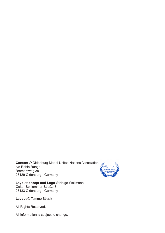**Content** © Oldenburg Model United Nations Association c/o Robin Runge Bremersweg 39 26129 Oldenburg - Germany



**Layoutkonzept and Logo** © Helge Wellmann Oskar-Schlemmer-Straße 3 26133 Oldenburg - Germany

**Layout** © Tammo Strack

All Rights Reserved.

All information is subject to change.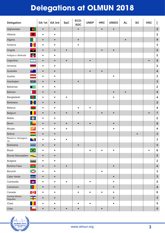| <b>Delegation</b>                  |                       | GA 1st    | GA 3rd    | <b>SpC</b> | ECO-<br><b>SOC</b> | <b>UNEP</b> | <b>HRC</b> | <b>UNIDO</b> | <b>AL</b> | <b>SC</b> | <b>HSC</b> | $\Sigma$                |
|------------------------------------|-----------------------|-----------|-----------|------------|--------------------|-------------|------------|--------------|-----------|-----------|------------|-------------------------|
| Afghanistan                        | $\circ$               | $\bullet$ | $\bullet$ |            | $\bullet$          |             | $\bullet$  | $\bullet$    |           |           |            | ${\bf 5}$               |
| Albania                            | X                     | $\bullet$ | $\bullet$ |            |                    |             |            |              |           |           |            | $\overline{\mathbf{2}}$ |
| Algeria                            | $\mathbf{G}$          | $\bullet$ | $\bullet$ |            | $\bullet$          |             |            |              | $\bullet$ |           |            | $\overline{\mathbf{4}}$ |
| Andorra                            | 勝                     | $\bullet$ | $\bullet$ |            | $\bullet$          |             |            |              |           |           |            | $\mathbf{3}$            |
| Angola                             | $\mathcal{Q}_-$       | $\bullet$ | $\bullet$ | $\bullet$  |                    |             |            | $\bullet$    |           |           |            | $\sqrt{5}$              |
| Antigua a. Barbuda                 | $\blacktriangledown$  | $\bullet$ | $\bullet$ |            |                    |             |            |              |           |           |            | $\overline{\mathbf{2}}$ |
| Argentina                          | Q                     | $\bullet$ | $\bullet$ | $\bullet$  |                    | $\bullet$   |            |              |           |           |            | $\overline{\mathbf{5}}$ |
| Armenia                            |                       | $\bullet$ | $\bullet$ |            |                    |             |            |              |           |           |            | $\overline{\mathbf{2}}$ |
| Australia                          | 米丽                    | $\bullet$ | $\bullet$ |            |                    | $\bullet$   | $\bullet$  |              |           |           |            | $\overline{\mathbf{4}}$ |
| Austria                            |                       | $\bullet$ | $\bullet$ |            |                    |             |            | $\bullet$    |           |           |            | $\mathbf{3}$            |
| Azerbaijan                         | <u>ayaa</u>           | $\bullet$ | $\bullet$ |            | $\bullet$          |             |            |              |           |           |            | $\mathbf{3}$            |
| <b>Bahamas</b>                     | $\blacktriangleright$ | $\bullet$ | $\bullet$ |            |                    |             |            |              |           |           |            | $\overline{\mathbf{2}}$ |
| <b>Bahrain</b>                     |                       | $\bullet$ | $\bullet$ |            |                    |             |            | $\bullet$    | $\bullet$ |           |            | $\overline{\mathbf{4}}$ |
| Bangladesh                         | D.                    | $\bullet$ | $\bullet$ | $\bullet$  |                    |             |            | $\bullet$    |           |           |            | $\overline{\mathbf{4}}$ |
| <b>Barbados</b>                    | $ \Psi $              | $\bullet$ | $\bullet$ |            |                    |             |            |              |           |           |            | $\overline{\mathbf{2}}$ |
| <b>Belarus</b>                     |                       | $\bullet$ | $\bullet$ |            | $\bullet$          | $\bullet$   |            |              |           |           |            | $\overline{\mathbf{4}}$ |
| Belgium                            |                       | $\bullet$ | $\bullet$ | $\bullet$  | $\bullet$          |             |            | $\bullet$    |           |           |            | $\overline{7}$          |
| Belize                             | $\bullet$             | $\bullet$ | $\bullet$ |            |                    |             |            |              |           |           |            | $\overline{\mathbf{2}}$ |
| Benin                              |                       | $\bullet$ | $\bullet$ | $\bullet$  | $\bullet$          | $\bullet$   |            | $\bullet$    |           |           |            | $\boldsymbol{6}$        |
| <b>Bhutan</b>                      | 不安                    | $\bullet$ | $\bullet$ | $\bullet$  |                    |             |            | $\bullet$    |           |           |            | $\overline{\mathbf{4}}$ |
| <b>Bolivia</b>                     |                       | $\bullet$ | $\bullet$ |            |                    |             |            |              |           | $\bullet$ |            | $\mathbf{3}$            |
| Bosnia a. Herzegovi-<br>na         |                       |           |           | $\bullet$  |                    |             |            |              |           |           |            | $\mathbf{3}$            |
| Botswana                           |                       | $\bullet$ | $\bullet$ |            | $\bullet$          |             |            |              |           |           |            | $\mathbf{3}$            |
| <b>Brazil</b>                      | $\bullet$             | $\bullet$ | $\bullet$ |            |                    | $\bullet$   | $\bullet$  | $\bullet$    |           |           | $\bullet$  | $\bf 6$                 |
| Brunei Darussalam                  | $-4$                  | $\bullet$ | $\bullet$ |            |                    |             |            |              |           |           |            | $\overline{\mathbf{2}}$ |
| <b>Bulgaria</b>                    |                       | $\bullet$ | $\bullet$ |            |                    |             |            |              |           |           |            | $\overline{\mathbf{2}}$ |
| <b>Burkina Faso</b>                | artas                 | $\bullet$ | $\bullet$ | $\bullet$  |                    |             |            | $\bullet$    |           |           |            | $\overline{\mathbf{4}}$ |
| Burundi                            | $\chi$                | $\bullet$ | $\bullet$ |            |                    |             |            |              |           |           |            | $\mathbf{3}$            |
| Cabo Verde                         |                       | $\bullet$ | $\bullet$ |            |                    |             |            | $\bullet$    |           |           |            | $\mathbf{3}$            |
| Cambodia                           | MA .                  | $\bullet$ | $\bullet$ | $\bullet$  |                    | $\bullet$   |            | $\bullet$    |           |           |            | $\overline{\mathbf{5}}$ |
| Cameroon                           | $\mathbf{R}$          | $\bullet$ | $\bullet$ |            | $\bullet$          |             |            | $\bullet$    |           |           |            | $\overline{\mathbf{4}}$ |
| Canada                             | <b>A</b>              | $\bullet$ | $\bullet$ |            | $\bullet$          | $\bullet$   | $\bullet$  | $\bullet$    |           |           |            | $\bf 6$                 |
| <b>Central African</b><br>Republic | žF                    | $\bullet$ | $\bullet$ |            |                    |             |            | $\bullet$    |           |           |            | $\mathbf{3}$            |
| Chad                               |                       | $\bullet$ | $\bullet$ |            | $\bullet$          | $\bullet$   |            | $\bullet$    |           |           |            | $\overline{\mathbf{5}}$ |
| Chile                              | $\star$               | $\bullet$ | $\bullet$ | $\bullet$  | $\bullet$          |             | $\bullet$  |              |           |           |            | ${\bf 5}$               |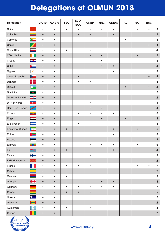| <b>Delegation</b>        |                                                                         | GA 1st    | GA 3rd    | <b>SpC</b> | ECO-<br><b>SOC</b> | <b>UNEP</b> | <b>HRC</b> | <b>UNIDO</b> | <b>AL</b> | <b>SC</b> | <b>HSC</b> | $\Sigma$                |
|--------------------------|-------------------------------------------------------------------------|-----------|-----------|------------|--------------------|-------------|------------|--------------|-----------|-----------|------------|-------------------------|
| China                    |                                                                         | ٠         | ٠         | $\bullet$  | $\bullet$          | $\bullet$   |            |              |           | $\bullet$ | $\bullet$  | $9$                     |
| Colombia                 | ۳                                                                       | $\bullet$ | $\bullet$ |            | $\bullet$          | $\bullet$   |            | $\bullet$    |           |           |            | $\overline{\mathbf{5}}$ |
| Comoros                  |                                                                         | $\bullet$ | $\bullet$ |            |                    |             |            |              | $\bullet$ |           |            | $\mathbf{3}$            |
| Congo                    | $\boldsymbol{Z}$                                                        | $\bullet$ | $\bullet$ |            |                    |             |            |              |           |           |            | $\mathbf{3}$            |
| Costa Rica               | ÷.                                                                      | $\bullet$ | $\bullet$ | $\bullet$  |                    | $\bullet$   |            |              |           |           |            | $\overline{\mathbf{4}}$ |
| Côte d'Ivoire            |                                                                         | $\bullet$ | $\bullet$ |            |                    |             | $\bullet$  |              |           | $\bullet$ |            | 5                       |
| Croatia                  |                                                                         | $\bullet$ | $\bullet$ |            |                    |             |            |              |           |           |            | $\mathbf{3}$            |
| Cuba                     | $\blacktriangleright$                                                   | $\bullet$ | $\bullet$ |            |                    |             |            | $\bullet$    |           |           |            | $\overline{\mathbf{4}}$ |
| Cyprus                   | $\blacktriangledown$                                                    | $\bullet$ | $\bullet$ |            |                    |             |            | $\bullet$    |           |           |            | $\mathbf{3}$            |
| <b>Czech Republic</b>    |                                                                         | $\bullet$ | $\bullet$ |            |                    |             |            |              |           |           |            | $\overline{\mathbf{4}}$ |
| Denmark                  | п                                                                       | $\bullet$ | $\bullet$ |            |                    | $\bullet$   |            |              |           |           |            | $\overline{\mathbf{4}}$ |
| Djibouti                 |                                                                         | $\bullet$ | $\bullet$ |            |                    |             |            |              | $\bullet$ |           |            | $\overline{\mathbf{4}}$ |
| Dominica                 | $\rightarrow$                                                           | $\bullet$ | $\bullet$ |            |                    |             |            |              |           |           |            | $\overline{\mathbf{2}}$ |
| Dominican Republic       | 25                                                                      | $\bullet$ | $\bullet$ |            |                    |             |            |              |           |           |            | $\overline{2}$          |
| DPR of Korea             | $\circ$                                                                 | $\bullet$ | $\bullet$ |            |                    |             |            |              |           |           |            | $\mathbf{3}$            |
| Dem. Rep. Congo          | $\overline{\phantom{a}}$                                                | $\bullet$ | $\bullet$ |            |                    | $\bullet$   | $\bullet$  |              |           |           |            | $\overline{\mathbf{4}}$ |
| Ecuador                  | $\overline{w}$                                                          | $\bullet$ | $\bullet$ |            |                    | $\bullet$   |            | $\bullet$    |           |           |            | $\boldsymbol{6}$        |
| Egypt                    |                                                                         | $\bullet$ | $\bullet$ |            |                    |             |            |              | $\bullet$ |           |            | $\overline{\mathbf{4}}$ |
| El Salvador              | $\bullet$                                                               | $\bullet$ | $\bullet$ |            | ٠                  |             |            |              |           |           |            | $\mathbf{3}$            |
| <b>Equatorial Guinea</b> | $\blacktriangleright$                                                   | $\bullet$ | $\bullet$ | $\bullet$  |                    |             |            | $\bullet$    |           | $\bullet$ |            | $\overline{\mathbf{5}}$ |
| Eritrea                  |                                                                         |           | $\bullet$ |            |                    |             |            |              |           |           |            | $\mathbf{3}$            |
| Estonia                  |                                                                         |           |           |            |                    |             |            |              |           |           |            | $\overline{\mathbf{2}}$ |
| Ethiopia                 | $\blacksquare$                                                          | $\bullet$ | $\bullet$ |            |                    | $\bullet$   | $\bullet$  | $\bullet$    |           | $\bullet$ |            | $\bf 6$                 |
| Fiji                     | $\frac{1}{2\sqrt{3}}$                                                   | $\bullet$ | $\bullet$ | $\bullet$  |                    |             |            | $\bullet$    |           |           |            | $\overline{\mathbf{4}}$ |
| Finland                  | 22                                                                      | $\bullet$ | $\bullet$ |            |                    | $\bullet$   |            |              |           |           |            | $\mathbf{3}$            |
| FYR Macedonia            | <b>X</b>                                                                | $\bullet$ | $\bullet$ |            |                    |             |            |              |           |           |            | $\overline{\mathbf{2}}$ |
| France                   |                                                                         | $\bullet$ | $\bullet$ | $\bullet$  | $\bullet$          | $\bullet$   |            |              |           | $\bullet$ | $\bullet$  | $\overline{7}$          |
| Gabon                    |                                                                         | $\bullet$ | $\bullet$ |            |                    |             |            |              |           |           |            | $\overline{\mathbf{2}}$ |
| Gambia                   |                                                                         | $\bullet$ | $\bullet$ | $\bullet$  |                    |             |            |              |           |           |            | $\mathbf{3}$            |
| Georgia                  | $\begin{array}{c c} \bullet & \bullet \\ \bullet & \bullet \end{array}$ | $\bullet$ | $\bullet$ |            |                    |             | $\bullet$  | $\bullet$    |           |           |            | $\overline{\mathbf{4}}$ |
| Germany                  |                                                                         | $\bullet$ | $\bullet$ | $\bullet$  | $\bullet$          | $\bullet$   | $\bullet$  | $\bullet$    |           |           |            | $\overline{7}$          |
| Ghana                    | $\overline{\phantom{a}}$                                                | $\bullet$ | $\bullet$ | $\bullet$  | $\bullet$          | $\bullet$   |            |              |           |           |            | ${\bf 5}$               |
| Greece                   | 华                                                                       | $\bullet$ | $\bullet$ |            |                    |             |            |              |           |           |            | $\overline{\mathbf{2}}$ |
| Grenada                  | <b>Deci</b>                                                             | $\bullet$ | $\bullet$ |            |                    |             |            |              |           |           |            | $\overline{\mathbf{2}}$ |
| Guatemala                | $\bullet$                                                               | $\bullet$ | $\bullet$ | $\bullet$  |                    | $\bullet$   |            |              |           |           |            | $\overline{\mathbf{4}}$ |
| Guinea                   |                                                                         | $\bullet$ | $\bullet$ |            |                    |             |            |              |           |           |            | $\mathbf 2$             |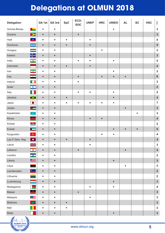| <b>Delegation</b> |                         | GA 1st    | GA 3rd    | <b>SpC</b> | ECO-<br><b>SOC</b> | <b>UNEP</b> | <b>HRC</b> | <b>UNIDO</b> | <b>AL</b> | <b>SC</b> | <b>HSC</b> | $\Sigma$                |
|-------------------|-------------------------|-----------|-----------|------------|--------------------|-------------|------------|--------------|-----------|-----------|------------|-------------------------|
| Guinea-Bissau     | ×.                      | $\bullet$ | $\bullet$ |            |                    |             |            | $\bullet$    |           |           |            | $\mathbf{3}$            |
| Guyana            | $\blacktriangleright$   | $\bullet$ | $\bullet$ |            | $\bullet$          |             |            |              |           |           |            | $\mathbf{3}$            |
| Haiti             | ستكب                    | $\bullet$ | $\bullet$ | $\bullet$  |                    | $\bullet$   |            |              |           |           |            | $\overline{\mathbf{4}}$ |
| Honduras          | <b>BOOK</b>             | $\bullet$ | $\bullet$ | $\bullet$  |                    | $\bullet$   |            |              |           |           |            | $\overline{\mathbf{4}}$ |
| Hungary           |                         | $\bullet$ | $\bullet$ |            |                    |             | $\bullet$  |              |           |           |            | $\mathbf{3}$            |
| Iceland           | ור                      | $\bullet$ | $\bullet$ |            |                    | $\bullet$   |            |              |           |           |            | $\mathbf{3}$            |
| India             | $\bullet$               | $\bullet$ | $\bullet$ |            | $\bullet$          | $\bullet$   |            | $\bullet$    |           |           |            | $\overline{\mathbf{5}}$ |
| Indonesia         |                         | $\bullet$ | $\bullet$ | $\bullet$  |                    | $\bullet$   |            |              |           |           |            | $\overline{\mathbf{4}}$ |
| Iran              | $\bullet$               | $\bullet$ | $\bullet$ |            |                    |             |            | ٠            |           |           |            | $\mathbf{3}$            |
| Iraq              | $-44$                   | $\bullet$ | $\bullet$ |            | $\bullet$          |             | $\bullet$  | $\bullet$    |           |           |            | $6\phantom{1}$          |
| Ireland           |                         | $\bullet$ | $\bullet$ |            | $\bullet$          |             |            |              |           |           |            | $\mathbf{3}$            |
| Israel            | $\frac{1}{\sqrt{2}}$    | $\bullet$ | $\bullet$ |            |                    |             |            |              |           |           |            | $\mathbf 2$             |
| Italy             |                         | $\bullet$ | $\bullet$ |            | $\bullet$          | $\bullet$   |            | $\bullet$    |           |           |            | $\sqrt{5}$              |
| Jamaica           | X                       | $\bullet$ | $\bullet$ | $\bullet$  |                    |             |            | $\bullet$    |           |           |            | $\overline{\mathbf{4}}$ |
| Japan             | $\bullet$               | $\bullet$ | $\bullet$ | $\bullet$  | ٠                  | ٠           |            | ٠            |           |           |            | $\overline{7}$          |
| Jordan            | $\blacktriangleright$   | $\bullet$ | $\bullet$ |            |                    |             |            |              | $\bullet$ |           |            | $\mathbf{3}$            |
| Kazakhstan        | $\circledcirc$          | $\bullet$ | $\bullet$ |            |                    |             |            |              |           | ٠         |            | $\mathbf{3}$            |
| Kenya             | $\blacksquare$          | $\bullet$ | $\bullet$ |            |                    | $\bullet$   | $\bullet$  |              |           |           |            | $\overline{\mathbf{4}}$ |
| Kiribati          | <b>Adam</b>             | $\bullet$ | $\bullet$ |            |                    |             |            |              |           |           |            | $\overline{\mathbf{2}}$ |
| Kuwait            | $\blacksquare$          | $\bullet$ | $\bullet$ |            |                    |             |            | $\bullet$    | $\bullet$ | $\bullet$ |            | ${\bf 5}$               |
| Kyrgyzstan        | $\circledcirc$          | ٠         | $\bullet$ |            |                    |             |            | ٠            |           |           |            | $\overline{\mathbf{4}}$ |
| Lao P. Dem. Rep.  | $\bullet$               |           | $\bullet$ | $\bullet$  |                    |             |            |              |           |           |            | $\overline{\mathbf{4}}$ |
| Latvia            |                         | $\bullet$ | $\bullet$ |            |                    | $\bullet$   |            |              |           |           |            | $\mathbf{3}$            |
| Lebanon           | $\overline{\bullet}$    | $\bullet$ | $\bullet$ |            | $\bullet$          |             |            |              | $\bullet$ |           |            | $\overline{\mathbf{4}}$ |
| Lesotho           | $\mathbf{A}$            | $\bullet$ | $\bullet$ |            |                    |             |            |              |           |           |            | $\overline{\mathbf{2}}$ |
| Liberia           | 生                       | $\bullet$ | $\bullet$ |            |                    |             |            | $\bullet$    |           |           |            | $\mathbf{3}$            |
| Libya             | $\frac{1}{2}$           | $\bullet$ | $\bullet$ |            |                    |             |            |              | $\bullet$ |           |            | $\mathbf{3}$            |
| Liechtenstein     | ∸                       | $\bullet$ | $\bullet$ |            |                    |             |            |              |           |           |            | $\overline{\mathbf{2}}$ |
| Lithuania         |                         | $\bullet$ | $\bullet$ |            |                    |             |            |              |           |           |            | $\overline{\mathbf{2}}$ |
| Luxembourg        |                         | $\bullet$ | $\bullet$ |            |                    |             |            | $\bullet$    |           |           |            | $\mathbf{3}$            |
| Madagascar        |                         | $\bullet$ | $\bullet$ |            |                    | $\bullet$   |            | $\bullet$    |           |           |            | $\boldsymbol{4}$        |
| Malawi            | ļ                       | $\bullet$ | $\bullet$ |            | $\bullet$          |             |            |              |           |           |            | $\mathbf{3}$            |
| Malaysia          | $\bullet \equiv$        | $\bullet$ | $\bullet$ |            |                    | $\bullet$   |            |              |           |           |            | $\mathbf{3}$            |
| Maldives          | $\overline{\mathbf{C}}$ | $\bullet$ | $\bullet$ | $\bullet$  |                    |             |            |              |           |           |            | $\mathbf{3}$            |
| Mali              |                         | $\bullet$ | $\bullet$ | $\bullet$  |                    |             |            |              |           |           |            | $\mathbf{3}$            |
| Malta             |                         | $\bullet$ | $\bullet$ |            |                    |             |            | $\bullet$    |           |           |            | $\mathbf{3}$            |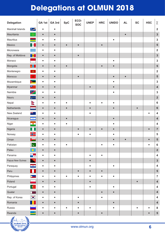| <b>Delegation</b> |                                                | GA 1st    | GA 3rd    | <b>SpC</b> | ECO-<br><b>SOC</b> | <b>UNEP</b> | <b>HRC</b> | <b>UNIDO</b> | <b>AL</b> | <b>SC</b> | <b>HSC</b> | $\Sigma$                |
|-------------------|------------------------------------------------|-----------|-----------|------------|--------------------|-------------|------------|--------------|-----------|-----------|------------|-------------------------|
| Marshall Islands  | $\overline{\phantom{a}}$                       | $\bullet$ | $\bullet$ |            |                    |             |            |              |           |           |            | $\overline{\mathbf{2}}$ |
| Mauritania        | $\mathfrak{S}$                                 | $\bullet$ | $\bullet$ |            |                    |             |            |              | $\bullet$ |           |            | $\mathbf{3}$            |
| Mauritius         |                                                | $\bullet$ | $\bullet$ |            |                    |             |            | $\bullet$    |           |           |            | $\mathbf{3}$            |
| Mexico            | <b>De</b>                                      | $\bullet$ | $\bullet$ | $\bullet$  | $\bullet$          |             | $\bullet$  |              |           |           |            | $\overline{\mathbf{5}}$ |
| Micronesia        | $\mathcal{L}(\mathcal{A})$                     | $\bullet$ | $\bullet$ |            |                    |             |            |              |           |           |            | $\overline{\mathbf{2}}$ |
| Rep. of Moldova   | <b>Marine</b>                                  | $\bullet$ | $\bullet$ |            | $\bullet$          |             |            |              |           |           |            | $\mathbf{3}$            |
| Monaco            |                                                | $\bullet$ | $\bullet$ |            |                    |             |            | $\bullet$    |           |           |            | $\mathbf{3}$            |
| Mongolia          | ÅШ                                             | $\bullet$ | $\bullet$ | $\bullet$  |                    |             | $\bullet$  | $\bullet$    |           |           |            | $5\phantom{1}$          |
| Montenegro        | - 樂                                            | $\bullet$ | $\bullet$ |            |                    |             |            |              |           |           |            | $\overline{\mathbf{2}}$ |
| Morocco           | $\bigstar$                                     | $\bullet$ | $\bullet$ |            | $\bullet$          |             |            | $\bullet$    |           |           |            | $\overline{\mathbf{5}}$ |
| Mozambique        | $*$ $\overline{\phantom{1}}$                   | $\bullet$ | $\bullet$ |            |                    |             |            | $\bullet$    |           |           |            | $\mathbf{3}$            |
| Myanmar           | $\bullet$                                      | $\bullet$ | $\bullet$ |            |                    | $\bullet$   |            | $\bullet$    |           |           |            | $\overline{\mathbf{4}}$ |
| Namibia           | $\overline{\phantom{a}}$                       | $\bullet$ | $\bullet$ |            |                    |             |            | $\bullet$    |           |           |            | $\mathbf{3}$            |
| Nauru             | $\overline{\phantom{a}}$                       | $\bullet$ | $\bullet$ |            |                    |             |            |              |           |           |            | $\overline{\mathbf{2}}$ |
| Nepal             | $\hat{\sigma}$                                 | $\bullet$ | $\bullet$ | $\bullet$  |                    | $\bullet$   |            | $\bullet$    |           |           |            | $\bf 6$                 |
| Netherlands       |                                                | $\bullet$ | $\bullet$ | $\bullet$  |                    | $\bullet$   |            | $\bullet$    |           | $\bullet$ |            | $\bf 6$                 |
| New Zealand       | <u>아 있다</u>                                    | $\bullet$ | $\bullet$ |            |                    | $\bullet$   |            |              |           |           |            | $\boldsymbol{4}$        |
| Nicaragua         | $\bullet$                                      | $\bullet$ | $\bullet$ | $\bullet$  |                    |             |            | $\bullet$    |           |           |            | $\overline{\mathbf{4}}$ |
| Niger             | $\overline{\phantom{a}}$                       | $\bullet$ | $\bullet$ | $\bullet$  |                    |             |            | $\bullet$    |           |           |            | $\overline{\mathbf{4}}$ |
| Nigeria           |                                                | $\bullet$ | $\bullet$ |            | $\bullet$          | $\bullet$   | $\bullet$  | $\bullet$    |           |           |            | $\overline{7}$          |
| Norway            | ╬                                              | $\bullet$ |           |            |                    | $\bullet$   |            | $\bullet$    |           |           |            | $\overline{\mathbf{5}}$ |
| Oman              | كالمراد                                        |           |           |            |                    |             |            |              |           |           |            | 5                       |
| Pakistan          | C                                              | $\bullet$ | ٠         | $\bullet$  |                    |             | $\bullet$  | $\bullet$    |           |           |            | $\bf 6$                 |
| Palau             | $\bigcirc$                                     | $\bullet$ | $\bullet$ |            |                    |             |            |              |           |           |            | $\overline{\mathbf{2}}$ |
| Panama            | $\begin{array}{c} \star \\ \hline \end{array}$ | $\bullet$ | $\bullet$ |            |                    | $\bullet$   | $\bullet$  |              |           |           |            | $\overline{\mathbf{4}}$ |
| Papua New Guinea  | $\mathbb{R}^4$                                 | $\bullet$ | $\bullet$ |            |                    | $\bullet$   |            |              |           |           |            | $\mathbf{3}$            |
| Paraquay          | $\bullet$                                      | $\bullet$ | $\bullet$ |            |                    | $\bullet$   |            | $\bullet$    |           |           |            | $\overline{\mathbf{4}}$ |
| Peru              |                                                | $\bullet$ | $\bullet$ |            | $\bullet$          | $\bullet$   | $\bullet$  |              |           |           |            | $\overline{\mathbf{5}}$ |
| Philippines       |                                                | $\bullet$ | $\bullet$ | $\bullet$  | $\bullet$          | $\bullet$   | $\bullet$  | $\bullet$    |           |           |            | $\overline{7}$          |
| Poland            |                                                | $\bullet$ | $\bullet$ |            |                    | $\bullet$   |            |              |           | $\bullet$ |            | $\overline{\mathbf{4}}$ |
| Portugal          | $\bullet$                                      | $\bullet$ | $\bullet$ |            |                    | $\bullet$   |            | $\bullet$    |           |           |            | $\boldsymbol{4}$        |
| Quatar            |                                                | $\bullet$ | $\bullet$ |            |                    |             | $\bullet$  | $\bullet$    |           |           |            | $\overline{\mathbf{4}}$ |
| Rep. of Korea     |                                                | $\bullet$ | $\bullet$ |            | $\bullet$          |             |            |              |           |           |            | $\boldsymbol{4}$        |
| Romania           |                                                | $\bullet$ | $\bullet$ |            | $\bullet$          |             |            | $\bullet$    |           |           |            | $\overline{\mathbf{4}}$ |
| Russia            |                                                | $\bullet$ | $\bullet$ | $\bullet$  | $\bullet$          | $\bullet$   |            | $\bullet$    |           | $\bullet$ |            | $\bf 8$                 |
| Rwanda            |                                                | $\bullet$ | $\bullet$ |            | $\bullet$          |             | $\bullet$  |              |           |           |            | ${\bf 5}$               |

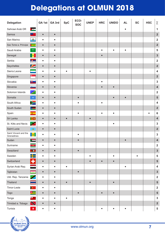| <b>Delegation</b>                   |                                                   | GA 1st    | GA 3rd    | <b>SpC</b> | ECO-<br><b>SOC</b> | <b>UNEP</b> | <b>HRC</b> | <b>UNIDO</b> | <b>AL</b> | <b>SC</b> | <b>HSC</b> | Σ                       |
|-------------------------------------|---------------------------------------------------|-----------|-----------|------------|--------------------|-------------|------------|--------------|-----------|-----------|------------|-------------------------|
| Sahrawi Arab DR                     | $\begin{array}{c} \bullet \\ \bullet \end{array}$ |           |           |            |                    |             |            |              | ●         |           |            | $\mathbf 1$             |
| Samoa                               | <b>SALE</b>                                       | $\bullet$ | $\bullet$ |            |                    |             |            |              |           |           |            | $\overline{\mathbf{2}}$ |
| San Marino                          | ۰                                                 | $\bullet$ | $\bullet$ |            |                    |             |            |              |           |           |            | $\overline{\mathbf{2}}$ |
| Sao Tome a. Principe                | $\blacktriangleright$ * *                         | $\bullet$ | $\bullet$ |            |                    |             |            |              |           |           |            | $\overline{\mathbf{2}}$ |
| Saudi Arabia                        | $\frac{\text{SSPM}}{\text{max}}$                  | $\bullet$ | $\bullet$ |            |                    |             | $\bullet$  | $\bullet$    | $\bullet$ |           |            | $\overline{\mathbf{5}}$ |
| Senegal                             | $\vert \star \vert$                               | $\bullet$ | $\bullet$ |            |                    |             | $\bullet$  |              |           |           |            | $\mathbf{3}$            |
| Serbia                              | <b>DESCRIPTION</b>                                | $\bullet$ | $\bullet$ |            |                    |             |            |              |           |           |            | $\overline{2}$          |
| Seychelles                          | $\blacktriangleright$                             | $\bullet$ | $\bullet$ |            |                    |             |            |              |           |           |            | $\overline{\mathbf{2}}$ |
| Sierra Leone                        |                                                   | $\bullet$ | $\bullet$ | ٠          |                    |             |            |              |           |           |            | $\overline{\mathbf{4}}$ |
| Singapore                           | $\mathbf{c}$                                      | $\bullet$ | $\bullet$ |            |                    |             |            |              |           |           |            | $\overline{\mathbf{2}}$ |
| Slovakia                            | 博                                                 | $\bullet$ | $\bullet$ |            |                    |             | $\bullet$  |              |           |           |            | $\mathbf{3}$            |
| Slovenia                            |                                                   | $\bullet$ | $\bullet$ |            |                    |             |            | $\bullet$    |           |           |            | $\overline{\mathbf{4}}$ |
| Solomon Islands                     | ツ                                                 | $\bullet$ | $\bullet$ |            |                    |             |            |              |           |           |            | $\overline{\mathbf{2}}$ |
| Somalia                             | $\star$                                           | $\bullet$ | $\bullet$ |            | $\bullet$          |             |            | $\bullet$    | $\bullet$ |           |            | $5\phantom{1}$          |
| South Africa                        | $\geq$                                            | $\bullet$ | $\bullet$ |            |                    |             |            |              |           |           |            | $\overline{\mathbf{4}}$ |
| South Sudan                         | $\star \equiv$                                    | $\bullet$ | $\bullet$ |            |                    |             |            |              |           |           |            | $\overline{\mathbf{2}}$ |
| Spain                               | 第二                                                | $\bullet$ | ٠         |            | $\bullet$          |             |            | $\bullet$    |           |           |            | $\bf 6$                 |
| Sri Lanka                           | $\blacksquare$                                    | $\bullet$ | $\bullet$ | $\bullet$  |                    | $\bullet$   |            |              |           |           |            | $\overline{\mathbf{4}}$ |
| St. Kitts and Nevis                 | <b>All Contracts</b>                              | $\bullet$ | $\bullet$ |            |                    |             |            | $\bullet$    |           |           |            | $\mathbf{3}$            |
| Saint Lucia                         | $\overline{\mathbf{A}}$                           | $\bullet$ | $\bullet$ |            |                    |             |            |              |           |           |            | $\overline{\mathbf{2}}$ |
| Saint Vincent and the<br>Grenadines | $ \psi $                                          |           | ٠         |            |                    |             |            |              |           |           |            | $\mathbf 3$             |
| Sudan                               |                                                   |           |           |            |                    |             |            |              |           |           |            | 4                       |
| Suriname                            | $\star$                                           | $\bullet$ | $\bullet$ |            |                    |             |            |              |           |           |            | $\overline{\mathbf{2}}$ |
| Swaziland                           | rest                                              | $\bullet$ | $\bullet$ |            | $\bullet$          |             |            |              |           |           |            | $\mathbf{3}$            |
| Sweden                              |                                                   | $\bullet$ | $\bullet$ |            |                    | ٠           |            | $\bullet$    |           | $\bullet$ |            | $\overline{\mathbf{5}}$ |
| Switzerland                         | ٠                                                 | $\bullet$ | $\bullet$ |            |                    |             |            | $\bullet$    |           |           |            | ${\bf 5}$               |
| Syrian Arab Rep.                    | $\rightarrow$                                     | $\bullet$ | $\bullet$ | $\bullet$  |                    |             |            |              | $\bullet$ |           |            | $\overline{\mathbf{4}}$ |
| Tajikistan                          | 类。                                                | $\bullet$ | $\bullet$ |            | $\bullet$          |             |            |              |           |           |            | $\mathbf{3}$            |
| Utd. Rep. Tanzania                  | D                                                 | $\bullet$ | $\bullet$ |            |                    |             |            |              |           |           |            | $\overline{\mathbf{2}}$ |
| Thailand                            |                                                   | $\bullet$ | $\bullet$ | $\bullet$  |                    | $\bullet$   |            | $\bullet$    |           |           |            | ${\bf 5}$               |
| Timor-Leste                         | $\blacktriangleright$                             | $\bullet$ | $\bullet$ |            |                    |             |            |              |           |           |            | $\overline{\mathbf{2}}$ |
| Togo                                | $\star$ $-$                                       | $\bullet$ | $\bullet$ |            | $\bullet$          |             | $\bullet$  | $\bullet$    |           |           |            | ${\bf 5}$               |
| Tonga                               | $\pm$                                             | $\bullet$ | $\bullet$ | $\bullet$  |                    |             |            |              |           |           |            | $\mathbf{3}$            |
| Trinidad a. Tobago                  | $\mathbb Z$                                       | $\bullet$ | $\bullet$ |            |                    |             |            |              |           |           |            | $\overline{\mathbf{2}}$ |
| Tunisia                             | $\bullet$                                         | $\bullet$ | $\bullet$ |            |                    |             | $\bullet$  | $\bullet$    | $\bullet$ |           |            | ${\bf 5}$               |